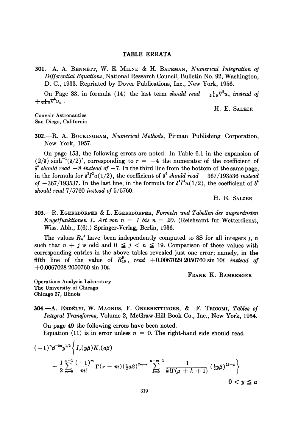## TABLE ERRATA

301.—A. A. BENNETT, W. E. MILNE & H. BATEMAN, Numerical Integration of Differential Equations, National Research Council, Bulletin No. 92, Washington, D. C, 1933. Reprinted by Dover Publications, Inc., New York, 1956.

On Page 83, in formula (14) the last term should read  $-\frac{1}{240}\nabla^3 u_n$  instead of  $+\frac{1}{240}\nabla^3 u_n$ .

H. E. Salzer

Convair-Astronautics San Diego, California

302.—R. A. BUCKINGHAM, Numerical Methods, Pitman Publishing Corporation, New York, 1957.

On page 153, the following errors are noted. In Table 6.1 in the expansion of  $(2/\delta)$  sinh<sup>-1</sup>( $\delta/2$ )<sup>r</sup>, corresponding to  $r = -4$  the numerator of the coefficient of  $\delta^4$  should read  $-8$  instead of  $-7$ . In the third line from the bottom of the same page, in the formula for  $\delta^2 I^2u(1/2)$ , the coefficient of  $\delta^6$  should read  $-367/193536$  instead of  $-367/193537$ . In the last line, in the formula for  $\delta^4 I^4 u(1/2)$ , the coefficient of  $\delta^4$ should read 7/5760 instead of 5/5760.

H. E. Salzer

 $303.$ —R. EGERSDÖRFER & L. EGERSDÖRFER, Formeln und Tabellen der zugeordneten Kugelfunktionen I. Art von  $n = 1$  bis  $n = 20$ . (Reichsamt fur Wetterdienst, Wiss. Abh., 1(6).) Springer-Verlag, Berlin, 1936.

The values  $R_n^{\ j}$  have been independently computed to 8S for all integers j, n such that  $n + j$  is odd and  $0 \leq j < n \leq 19$ . Comparison of these values with corresponding entries in the above tables revealed just one error; namely, in the fifth line of the value of  $R_{10}^{9}$ , read  $+0.0067029$  2050760 sin 10t instead of  $+0.0067028$  2050760 sin 10t.

FRANK K. BAMBERGER

Operations Analysis Laboratory The University of Chicago Chicago 37, Illinois

304.—A. Erdélyi, W. MAGNUS, F. OBERHETTINGER, & F. TRICOMI, Tables of Integral Transforms, Volume 2, McGraw-Hill Book Co., Inc., New York, 1954.

On page 49 the following errors have been noted. Equation (11) is in error unless  $n = 0$ . The right-hand side should read

$$
(-1)^{n} \beta^{-2n} y^{1/2} \left\{ I_{\nu}(y\beta) K_{\nu}(a\beta) - \frac{1}{2} \sum_{m=0}^{n-1} \frac{(-1)^{m}}{m!} \Gamma(\nu-m) \left(\frac{1}{2}a\beta\right)^{2m-\nu} \sum_{k=0}^{n-m-1} \frac{1}{k! \Gamma(\mu+k+1)} \left(\frac{1}{2}y\beta\right)^{2k+\mu} \right\}
$$
  
0 < y \le a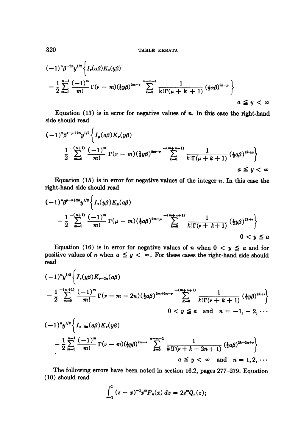TABLE ERRATA

$$
(-1)^{n} \beta^{-2n} y^{1/2} \left\{ I_r(\alpha \beta) K_r(y \beta) - \frac{1}{2} \sum_{m=0}^{n-1} \frac{(-1)^m}{m!} \Gamma(\nu - m) (\frac{1}{2} y \beta)^{2m-\nu} \sum_{k=0}^{n-m-1} \frac{1}{k! \Gamma(\mu + k + 1)} (\frac{1}{2} \alpha \beta)^{2k+\mu} \right\}
$$
  
 $a \le y < \infty$ 

Equation  $(13)$  is in error for negative values of  $n$ . In this case the right-hand side should read

$$
(-1)^{n} \beta^{r-\mu+2n} y^{1/2} \left\{ I_{\mu}(a\beta) K_{r}(y\beta) - \frac{1}{2} \sum_{m=0}^{-(n+1)} \frac{(-1)^{m}}{m!} \Gamma(\nu-m) (\frac{1}{2}y\beta)^{2m-r} \sum_{k=0}^{-(m+n+1)} \frac{1}{k! \Gamma(\mu+k+1)} (\frac{1}{2}a\beta)^{2k+\mu} \right\}
$$
  
 $a \le y < \infty$ 

Equation  $(15)$  is in error for negative values of the integer n. In this case the right-hand side should read

$$
(-1)^{n} \beta^{\mu-r+2n} y^{1/2} \left\{ I_{r}(y\beta) K_{\mu}(a\beta) - \frac{1}{2} \sum_{m=0}^{-(n+1)} \frac{(-1)^{m}}{m!} \Gamma(\mu-m) \left(\frac{1}{2} a\beta\right)^{2m-\mu} \sum_{k=0}^{-(m+n+1)} \frac{1}{k! \Gamma(\nu+k+1)} \left(\frac{1}{2} y\beta\right)^{2k+r} \right\}
$$
  
0 < y \le a

Equation (16) is in error for negative values of *n* when  $0 < y \le a$  and for positive values of *n* when  $a \leq y < \infty$ . For these cases the right-hand side should read

$$
(-1)^{n}y^{1/2}\left\{J_{r}(y\beta)K_{r-2n}(a\beta)\right.
$$
  

$$
-\frac{1}{2}\sum_{m=0}^{-(n+1)}\frac{(-1)^{m}}{m!}\Gamma(\nu-m-2n)(\frac{1}{2}a\beta)^{2m+2n-r}\sum_{k=0}^{-(m+n+1)}\frac{1}{k!\Gamma(\nu+k+1)}(\frac{1}{2}y\beta)^{2k+r}\right\}
$$
  

$$
0 < y \leq a \text{ and } n = -1, -2, \cdots
$$

$$
(-1)^{n}y^{1/2}\left\{I_{r-2n}(a\beta)K_{r}(y\beta)\right.
$$
  
 
$$
-\frac{1}{2}\sum_{m=0}^{n-1}\frac{(-1)^{m}}{m!}\Gamma(\nu-m)(\frac{1}{2}y\beta)^{2m-r}\sum_{k=0}^{n-m-1}\frac{1}{k!\Gamma(\nu+k-2n+1)}(\frac{1}{2}a\beta)^{2k-2n+r}\right\}
$$
  
  $a \leq y < \infty$  and  $n = 1, 2, \cdots$ 

The following errors have been noted in section 16.2, pages 277-279. Equation (10) should read

$$
\int_{-1}^{1} (z-x)^{-1} x^{m} P_{n}(x) dx = 2z^{m} Q_{n}(z);
$$

320